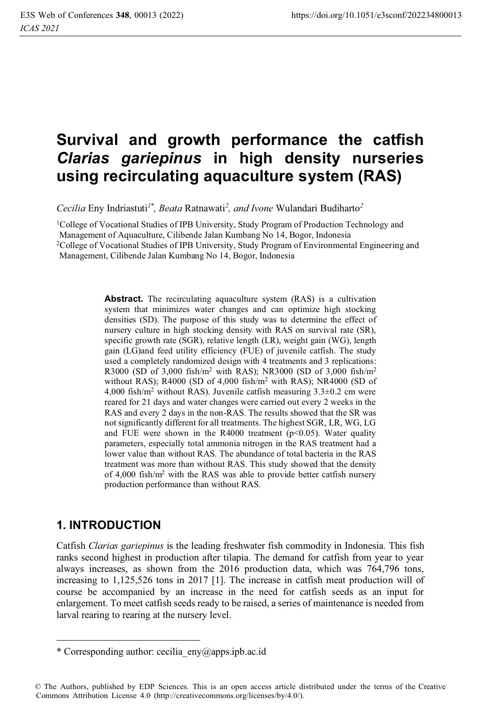# **Survival and growth performance the catfish**  *Clarias gariepinus* **in high density nurseries using recirculating aquaculture system (RAS)**

*Cecilia* Eny Indriastuti*1\* , Beata* Ratnawati*<sup>2</sup> , and Ivone* Wulandari Budiharto*<sup>2</sup>*

1College of Vocational Studies of IPB University, Study Program of Production Technology and Management of Aquaculture, Cilibende Jalan Kumbang No 14, Bogor, Indonesia

<sup>2</sup>College of Vocational Studies of IPB University, Study Program of Environmental Engineering and

Management, Cilibende Jalan Kumbang No 14, Bogor, Indonesia

**Abstract.** The recirculating aquaculture system (RAS) is a cultivation system that minimizes water changes and can optimize high stocking densities (SD). The purpose of this study was to determine the effect of nursery culture in high stocking density with RAS on survival rate (SR), specific growth rate (SGR), relative length (LR), weight gain (WG), length gain (LG)and feed utility efficiency (FUE) of juvenile catfish. The study used a completely randomized design with 4 treatments and 3 replications: R3000 (SD of 3,000 fish/m2 with RAS); NR3000 (SD of 3,000 fish/m2 without RAS); R4000 (SD of 4,000 fish/m2 with RAS); NR4000 (SD of 4,000 fish/ $m^2$  without RAS). Juvenile catfish measuring  $3.3\pm0.2$  cm were reared for 21 days and water changes were carried out every 2 weeks in the RAS and every 2 days in the non-RAS. The results showed that the SR was not significantly different for all treatments. The highest SGR, LR, WG, LG and FUE were shown in the R4000 treatment ( $p$ <0.05). Water quality parameters, especially total ammonia nitrogen in the RAS treatment had a lower value than without RAS. The abundance of total bacteria in the RAS treatment was more than without RAS. This study showed that the density of 4,000 fish/m2 with the RAS was able to provide better catfish nursery production performance than without RAS.

# **1. INTRODUCTION**

Catfish *Clarias gariepinus* is the leading freshwater fish commodity in Indonesia. This fish ranks second highest in production after tilapia. The demand for catfish from year to year always increases, as shown from the 2016 production data, which was 764,796 tons, increasing to 1,125,526 tons in 2017 [1]. The increase in catfish meat production will of course be accompanied by an increase in the need for catfish seeds as an input for enlargement. To meet catfish seeds ready to be raised, a series of maintenance is needed from larval rearing to rearing at the nursery level.

<sup>\*</sup> Corresponding author: cecilia  $eny(\omega$ apps.ipb.ac.id

<sup>©</sup> The Authors, published by EDP Sciences. This is an open access article distributed under the terms of the Creative Commons Attribution License 4.0 (http://creativecommons.org/licenses/by/4.0/).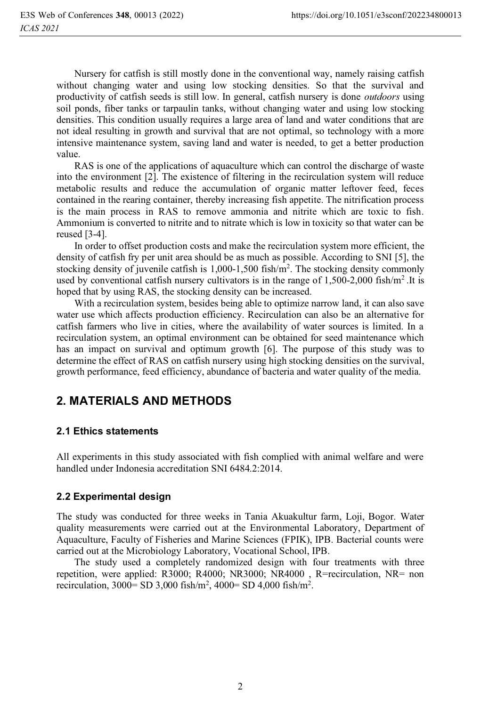Nursery for catfish is still mostly done in the conventional way, namely raising catfish without changing water and using low stocking densities. So that the survival and productivity of catfish seeds is still low. In general, catfish nursery is done *outdoors* using soil ponds, fiber tanks or tarpaulin tanks, without changing water and using low stocking densities. This condition usually requires a large area of land and water conditions that are not ideal resulting in growth and survival that are not optimal, so technology with a more intensive maintenance system, saving land and water is needed, to get a better production value.

RAS is one of the applications of aquaculture which can control the discharge of waste into the environment [2]. The existence of filtering in the recirculation system will reduce metabolic results and reduce the accumulation of organic matter leftover feed, feces contained in the rearing container, thereby increasing fish appetite. The nitrification process is the main process in RAS to remove ammonia and nitrite which are toxic to fish. Ammonium is converted to nitrite and to nitrate which is low in toxicity so that water can be reused [3-4].

In order to offset production costs and make the recirculation system more efficient, the density of catfish fry per unit area should be as much as possible. According to SNI [5], the stocking density of juvenile catfish is 1,000-1,500 fish/m<sup>2</sup>. The stocking density commonly used by conventional catfish nursery cultivators is in the range of  $1,500$ -2,000 fish/m<sup>2</sup>. It is hoped that by using RAS, the stocking density can be increased.

With a recirculation system, besides being able to optimize narrow land, it can also save water use which affects production efficiency. Recirculation can also be an alternative for catfish farmers who live in cities, where the availability of water sources is limited. In a recirculation system, an optimal environment can be obtained for seed maintenance which has an impact on survival and optimum growth [6]. The purpose of this study was to determine the effect of RAS on catfish nursery using high stocking densities on the survival, growth performance, feed efficiency, abundance of bacteria and water quality of the media.

# **2. MATERIALS AND METHODS**

# **2.1 Ethics statements**

All experiments in this study associated with fish complied with animal welfare and were handled under Indonesia accreditation SNI 6484 2:2014

# **2.2 Experimental design**

The study was conducted for three weeks in Tania Akuakultur farm, Loji, Bogor. Water quality measurements were carried out at the Environmental Laboratory, Department of Aquaculture, Faculty of Fisheries and Marine Sciences (FPIK), IPB. Bacterial counts were carried out at the Microbiology Laboratory, Vocational School, IPB.

The study used a completely randomized design with four treatments with three repetition, were applied: R3000; R4000; NR3000; NR4000, R=recirculation, NR= non recirculation, 3000= SD 3,000 fish/m<sup>2</sup>, 4000= SD 4,000 fish/m<sup>2</sup>.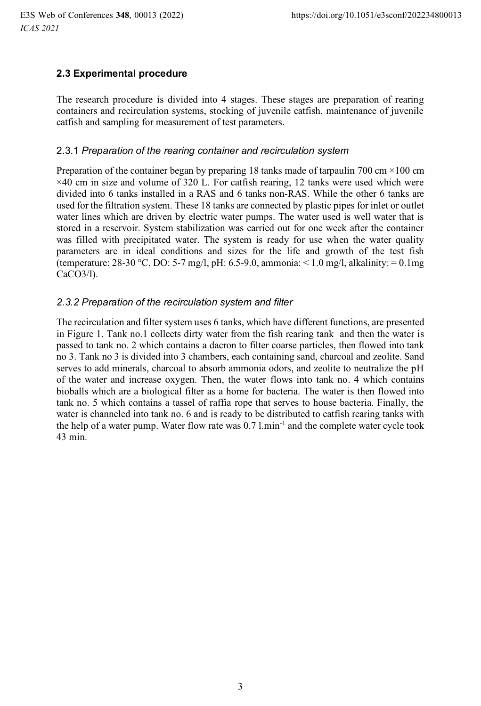# **2.3 Experimental procedure**

The research procedure is divided into 4 stages. These stages are preparation of rearing containers and recirculation systems, stocking of juvenile catfish, maintenance of juvenile catfish and sampling for measurement of test parameters.

### 2.3.1 *Preparation of the rearing container and recirculation system*

Preparation of the container began by preparing 18 tanks made of tarpaulin 700 cm  $\times$ 100 cm ×40 cm in size and volume of 320 L. For catfish rearing, 12 tanks were used which were divided into 6 tanks installed in a RAS and 6 tanks non-RAS. While the other 6 tanks are used for the filtration system. These 18 tanks are connected by plastic pipes for inlet or outlet water lines which are driven by electric water pumps. The water used is well water that is stored in a reservoir. System stabilization was carried out for one week after the container was filled with precipitated water. The system is ready for use when the water quality parameters are in ideal conditions and sizes for the life and growth of the test fish (temperature:  $28-30$  °C, DO:  $5-7$  mg/l, pH:  $6.5-9.0$ , ammonia:  $\lt 1.0$  mg/l, alkalinity:  $= 0.1$ mg CaCO3/l).

### *2.3.2 Preparation of the recirculation system and filter*

The recirculation and filter system uses 6 tanks, which have different functions, are presented in Figure 1. Tank no.1 collects dirty water from the fish rearing tank and then the water is passed to tank no. 2 which contains a dacron to filter coarse particles, then flowed into tank no 3. Tank no 3 is divided into 3 chambers, each containing sand, charcoal and zeolite. Sand serves to add minerals, charcoal to absorb ammonia odors, and zeolite to neutralize the pH of the water and increase oxygen. Then, the water flows into tank no. 4 which contains bioballs which are a biological filter as a home for bacteria. The water is then flowed into tank no. 5 which contains a tassel of raffia rope that serves to house bacteria. Finally, the water is channeled into tank no. 6 and is ready to be distributed to catfish rearing tanks with the help of a water pump. Water flow rate was  $0.7$  l.min<sup>-1</sup> and the complete water cycle took 43 min.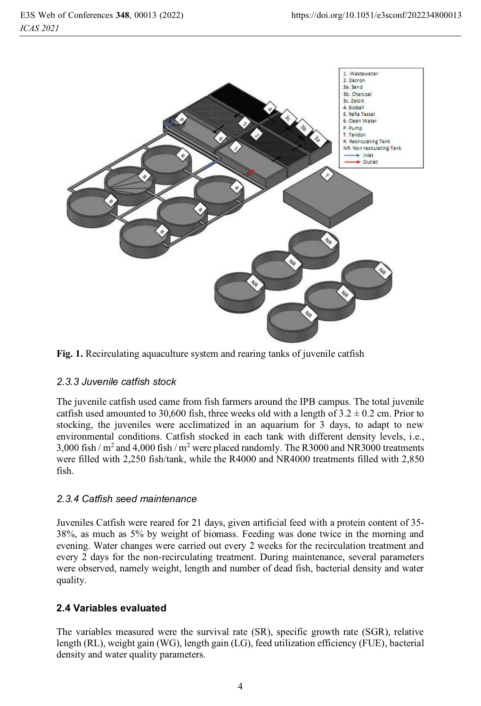



### *2.3.3 Juvenile catfish stock*

The juvenile catfish used came from fish farmers around the IPB campus. The total juvenile catfish used amounted to 30,600 fish, three weeks old with a length of  $3.2 \pm 0.2$  cm. Prior to stocking, the juveniles were acclimatized in an aquarium for 3 days, to adapt to new environmental conditions. Catfish stocked in each tank with different density levels, i.e., 3,000 fish /  $m^2$  and 4,000 fish /  $m^2$  were placed randomly. The R3000 and NR3000 treatments were filled with 2,250 fish/tank, while the R4000 and NR4000 treatments filled with 2,850 fish.

### *2.3.4 Catfish seed maintenance*

Juveniles Catfish were reared for 21 days, given artificial feed with a protein content of 35- 38%, as much as 5% by weight of biomass. Feeding was done twice in the morning and evening. Water changes were carried out every 2 weeks for the recirculation treatment and every 2 days for the non-recirculating treatment. During maintenance, several parameters were observed, namely weight, length and number of dead fish, bacterial density and water quality.

# **2.4 Variables evaluated**

The variables measured were the survival rate (SR), specific growth rate (SGR), relative length (RL), weight gain (WG), length gain (LG), feed utilization efficiency (FUE), bacterial density and water quality parameters.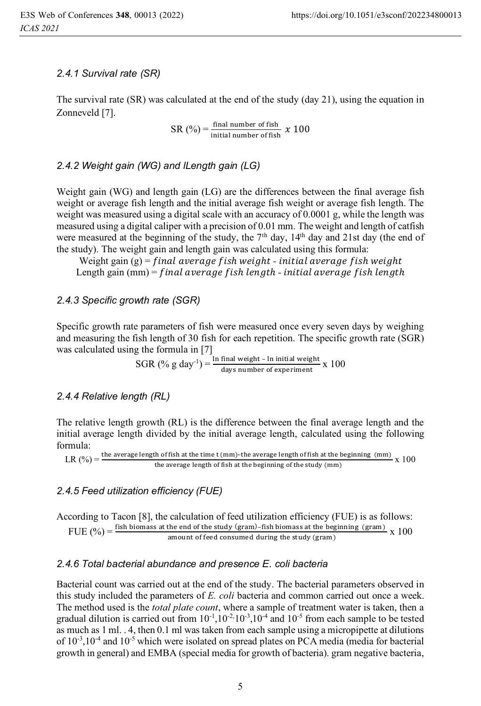#### *2.4.1 Survival rate (SR)*

The survival rate (SR) was calculated at the end of the study (day 21), using the equation in Zonneveld [7].

> $SR(%) = \frac{final number of fish}{initial number of fish}$  $\frac{\text{final number of fish}}{\text{initial number of fish}} \times 100$

#### *2.4.2 Weight gain (WG) and lLength gain (LG)*

Weight gain (WG) and length gain (LG) are the differences between the final average fish weight or average fish length and the initial average fish weight or average fish length. The weight was measured using a digital scale with an accuracy of 0.0001 g, while the length was measured using a digital caliper with a precision of 0.01 mm. The weight and length of catfish were measured at the beginning of the study, the  $7<sup>th</sup>$  day,  $14<sup>th</sup>$  day and 21st day (the end of the study). The weight gain and length gain was calculated using this formula:

Weight gain (g) = final average fish weight - initial average fish weight Length gain (mm) = final average fish length - initial average fish length

#### *2.4.3 Specific growth rate (SGR)*

Specific growth rate parameters of fish were measured once every seven days by weighing and measuring the fish length of 30 fish for each repetition. The specific growth rate (SGR) was calculated using the formula in [7]

 $SGR$  (% g day<sup>-1</sup>) =  $\frac{\ln \text{final weight} - \ln \text{initial weight}}{\text{down when of current}}$  $\frac{1}{\text{days number of experiment}} \times 100$ 

#### *2.4.4 Relative length (RL)*

The relative length growth (RL) is the difference between the final average length and the initial average length divided by the initial average length, calculated using the following formula:

$$
LR (%) = \frac{\text{the average length of fish at the time t (mm)-the average length of fish at the beginning (mm)}{\text{the average length of fish at the beginning of the study (mm)} \times 100}
$$

#### *2.4.5 Feed utilization efficiency (FUE)*

According to Tacon [8], the calculation of feed utilization efficiency (FUE) is as follows: FUE  $\binom{0}{0}$  = fish biomass at the end of the study (gram)-fish biomass at the beginning (gram) x 100

amount of feed consumed during the study (gram)

#### *2.4.6 Total bacterial abundance and presence E. coli bacteria*

Bacterial count was carried out at the end of the study. The bacterial parameters observed in this study included the parameters of *E. coli* bacteria and common carried out once a week. The method used is the *total plate count*, where a sample of treatment water is taken, then a gradual dilution is carried out from  $10^{-1}$ ,  $10^{-2}$ ,  $10^{-3}$ ,  $10^{-4}$  and  $10^{-5}$  from each sample to be tested as much as 1 ml. . 4, then 0.1 ml was taken from each sample using a micropipette at dilutions of  $10^{-3}$ ,  $10^{-4}$  and  $10^{-5}$  which were isolated on spread plates on PCA media (media for bacterial growth in general) and EMBA (special media for growth of bacteria). gram negative bacteria,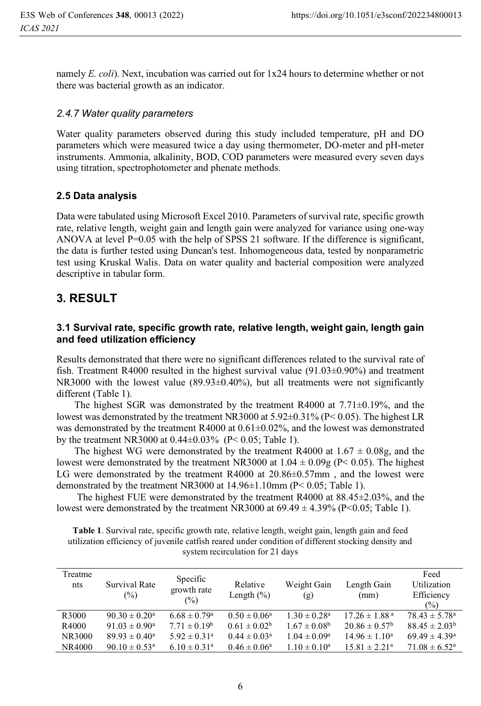namely *E. coli*). Next, incubation was carried out for 1x24 hours to determine whether or not there was bacterial growth as an indicator.

#### *2.4.7 Water quality parameters*

Water quality parameters observed during this study included temperature, pH and DO parameters which were measured twice a day using thermometer, DO-meter and pH-meter instruments. Ammonia, alkalinity, BOD, COD parameters were measured every seven days using titration, spectrophotometer and phenate methods.

### **2.5 Data analysis**

Data were tabulated using Microsoft Excel 2010. Parameters of survival rate, specific growth rate, relative length, weight gain and length gain were analyzed for variance using one-way ANOVA at level P=0.05 with the help of SPSS 21 software. If the difference is significant, the data is further tested using Duncan's test. Inhomogeneous data, tested by nonparametric test using Kruskal Walis. Data on water quality and bacterial composition were analyzed descriptive in tabular form.

# **3. RESULT**

### **3.1 Survival rate, specific growth rate, relative length, weight gain, length gain and feed utilization efficiency**

Results demonstrated that there were no significant differences related to the survival rate of fish. Treatment R4000 resulted in the highest survival value (91.03±0.90%) and treatment NR3000 with the lowest value (89.93±0.40%), but all treatments were not significantly different (Table 1).

The highest SGR was demonstrated by the treatment R4000 at  $7.71\pm0.19\%$ , and the lowest was demonstrated by the treatment NR3000 at 5.92±0.31% (P< 0.05). The highest LR was demonstrated by the treatment R4000 at  $0.61\pm0.02\%$ , and the lowest was demonstrated by the treatment NR3000 at 0.44±0.03% (P< 0.05; Table 1).

The highest WG were demonstrated by the treatment R4000 at  $1.67 \pm 0.08$ g, and the lowest were demonstrated by the treatment NR3000 at  $1.04 \pm 0.09$  (P $\leq 0.05$ ). The highest LG were demonstrated by the treatment R4000 at 20.86±0.57mm , and the lowest were demonstrated by the treatment NR3000 at 14.96±1.10mm (P< 0.05; Table 1).

 The highest FUE were demonstrated by the treatment R4000 at 88.45±2.03%, and the lowest were demonstrated by the treatment NR3000 at  $69.49 \pm 4.39\%$  (P<0.05; Table 1).

| Treatme<br>nts | Survival Rate<br>$(\%)$     | Specific<br>growth rate<br>(%) | Relative<br>Length $(\% )$ | Weight Gain<br>(g)      | Length Gain<br>(mm)           | Feed<br>Utilization<br>Efficiency<br>$\frac{6}{2}$ |
|----------------|-----------------------------|--------------------------------|----------------------------|-------------------------|-------------------------------|----------------------------------------------------|
| R3000          | $90.30 \pm 0.20^{\circ}$    | $6.68 \pm 0.79$ <sup>a</sup>   | $0.50 \pm 0.06^a$          | $1.30 \pm 0.28^a$       | $17.26 \pm 1.88$ <sup>a</sup> | $78.43 \pm 5.78^{\circ}$                           |
| R4000          | $91.03 \pm 0.90^{\circ}$    | $7.71 \pm 0.19^{\rm b}$        | $0.61 \pm 0.02^b$          | $1.67 \pm 0.08^{\rm b}$ | $20.86 \pm 0.57^{\rm b}$      | $88.45 \pm 2.03^b$                                 |
| NR3000         | $89.93 \pm 0.40^{\circ}$    | $5.92 \pm 0.31$ <sup>a</sup>   | $0.44 \pm 0.03^a$          | $1.04 \pm 0.09^a$       | $14.96 \pm 1.10^a$            | $69.49 \pm 4.39^{\circ}$                           |
| NR4000         | $90.10 \pm 0.53^{\text{a}}$ | $6.10 \pm 0.31$ <sup>a</sup>   | $0.46 \pm 0.06^a$          | $1.10 \pm 0.10^a$       | $15.81 \pm 2.21^a$            | $71.08 \pm 6.52^{\circ}$                           |

**Table 1**. Survival rate, specific growth rate, relative length, weight gain, length gain and feed utilization efficiency of juvenile catfish reared under condition of different stocking density and system recirculation for 21 days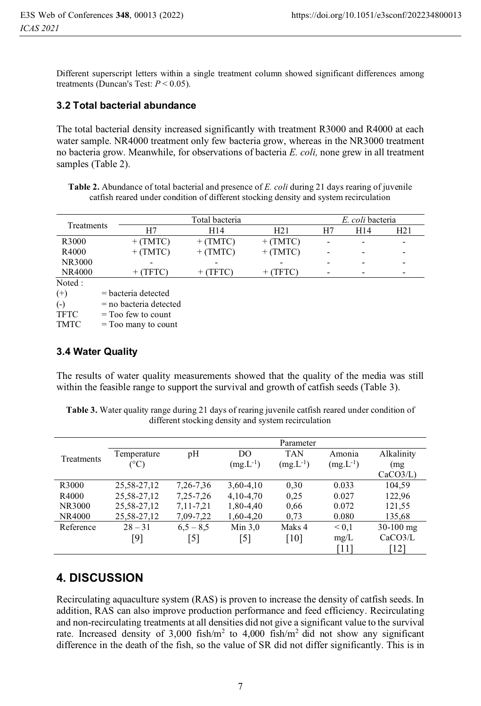Different superscript letters within a single treatment column showed significant differences among treatments (Duncan's Test: *P* < 0.05).

#### **3.2 Total bacterial abundance**

The total bacterial density increased significantly with treatment R3000 and R4000 at each water sample. NR4000 treatment only few bacteria grow, whereas in the NR3000 treatment no bacteria grow. Meanwhile, for observations of bacteria *E. coli,* none grew in all treatment samples (Table 2).

**Table 2.** Abundance of total bacterial and presence of *E. coli* during 21 days rearing of juvenile catfish reared under condition of different stocking density and system recirculation

|             |                          | Total bacteria |                 |    |     | E. coli bacteria             |  |  |
|-------------|--------------------------|----------------|-----------------|----|-----|------------------------------|--|--|
| Treatments  | H7                       | H14            | H21             | H7 | H14 | H21                          |  |  |
| R3000       | $+$ (TMTC)               | $+$ (TMTC)     | $+$ (TMTC)      |    |     |                              |  |  |
| R4000       | $+$ (TMTC)               | $+$ (TMTC)     | $+$ (TMTC)      |    |     | $\overline{\phantom{0}}$     |  |  |
| NR3000      | $\overline{\phantom{0}}$ |                |                 |    |     | $\overline{\phantom{0}}$     |  |  |
| NR4000      | $+$ (TFTC)               | (TFTC)<br>$^+$ | (TFTC)<br>$+$ . |    |     | $\qquad \qquad \blacksquare$ |  |  |
| Noted:      |                          |                |                 |    |     |                              |  |  |
| $^{(+)}$    | $=$ bacteria detected    |                |                 |    |     |                              |  |  |
| $(-)$       | $=$ no bacteria detected |                |                 |    |     |                              |  |  |
| <b>TFTC</b> | $=$ Too few to count     |                |                 |    |     |                              |  |  |

 $TMTC = Too$  many to count

#### **3.4 Water Quality**

The results of water quality measurements showed that the quality of the media was still within the feasible range to support the survival and growth of catfish seeds (Table 3).

**Table 3.** Water quality range during 21 days of rearing juvenile catfish reared under condition of different stocking density and system recirculation

|               | Parameter    |               |               |               |               |             |  |
|---------------|--------------|---------------|---------------|---------------|---------------|-------------|--|
|               | Temperature  | pH            | DO            | <b>TAN</b>    | Amonia        | Alkalinity  |  |
| Treatments    | $(^\circ C)$ |               | $(mg.L^{-1})$ | $(mg.L^{-1})$ | $(mg.L^{-1})$ | (mg         |  |
|               |              |               |               |               |               | CaCO3/L     |  |
| R3000         | 25,58-27,12  | 7, 26 - 7, 36 | 3,60-4,10     | 0,30          | 0.033         | 104,59      |  |
| R4000         | 25,58-27,12  | 7, 25 - 7, 26 | 4,10-4,70     | 0,25          | 0.027         | 122,96      |  |
| NR3000        | 25,58-27,12  | 7, 11 - 7, 21 | 1,80-4,40     | 0,66          | 0.072         | 121,55      |  |
| <b>NR4000</b> | 25,58-27,12  | 7,09-7,22     | 1,60-4,20     | 0.73          | 0.080         | 135,68      |  |
| Reference     | $28 - 31$    | $6,5 - 8,5$   | Min $3,0$     | Maks 4        | ${}_{0.1}$    | $30-100$ mg |  |
|               | [9]          | [5]           | [5]           | [10]          | mg/L          | CaCO3/L     |  |
|               |              |               |               |               | [11]          | [12]        |  |

# **4. DISCUSSION**

Recirculating aquaculture system (RAS) is proven to increase the density of catfish seeds. In addition, RAS can also improve production performance and feed efficiency. Recirculating and non-recirculating treatments at all densities did not give a significant value to the survival rate. Increased density of  $3,000$  fish/m<sup>2</sup> to  $4,000$  fish/m<sup>2</sup> did not show any significant difference in the death of the fish, so the value of SR did not differ significantly. This is in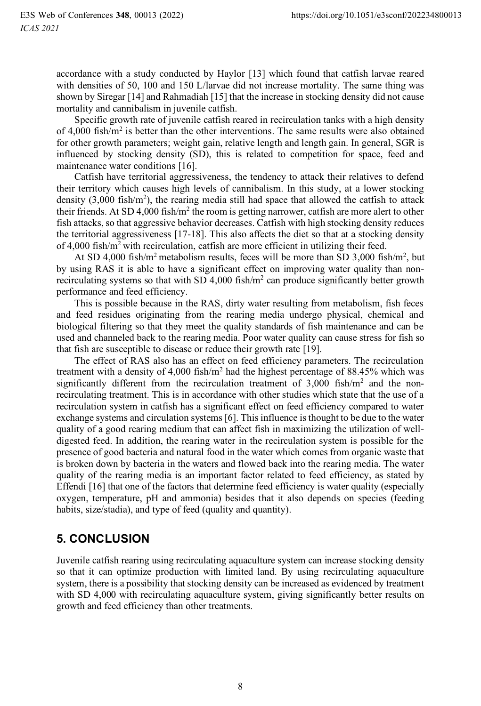accordance with a study conducted by Haylor [13] which found that catfish larvae reared with densities of 50, 100 and 150 L/larvae did not increase mortality. The same thing was shown by Siregar [14] and Rahmadiah [15] that the increase in stocking density did not cause mortality and cannibalism in juvenile catfish.

Specific growth rate of juvenile catfish reared in recirculation tanks with a high density of 4,000 fish/m2 is better than the other interventions. The same results were also obtained for other growth parameters; weight gain, relative length and length gain. In general, SGR is influenced by stocking density (SD), this is related to competition for space, feed and maintenance water conditions [16].

Catfish have territorial aggressiveness, the tendency to attack their relatives to defend their territory which causes high levels of cannibalism. In this study, at a lower stocking density  $(3,000 \text{ fish/m}^2)$ , the rearing media still had space that allowed the catfish to attack their friends. At SD 4,000 fish/m<sup>2</sup> the room is getting narrower, catfish are more alert to other fish attacks, so that aggressive behavior decreases. Catfish with high stocking density reduces the territorial aggressiveness [17-18]. This also affects the diet so that at a stocking density of 4,000 fish/m2 with recirculation, catfish are more efficient in utilizing their feed.

At SD 4,000 fish/ $m^2$  metabolism results, feces will be more than SD 3,000 fish/ $m^2$ , but by using RAS it is able to have a significant effect on improving water quality than nonrecirculating systems so that with SD 4,000 fish/ $m<sup>2</sup>$  can produce significantly better growth performance and feed efficiency.

This is possible because in the RAS, dirty water resulting from metabolism, fish feces and feed residues originating from the rearing media undergo physical, chemical and biological filtering so that they meet the quality standards of fish maintenance and can be used and channeled back to the rearing media. Poor water quality can cause stress for fish so that fish are susceptible to disease or reduce their growth rate [19].

The effect of RAS also has an effect on feed efficiency parameters. The recirculation treatment with a density of  $4,000$  fish/m<sup>2</sup> had the highest percentage of 88.45% which was significantly different from the recirculation treatment of  $3,000$  fish/m<sup>2</sup> and the nonrecirculating treatment. This is in accordance with other studies which state that the use of a recirculation system in catfish has a significant effect on feed efficiency compared to water exchange systems and circulation systems [6]. This influence is thought to be due to the water quality of a good rearing medium that can affect fish in maximizing the utilization of welldigested feed. In addition, the rearing water in the recirculation system is possible for the presence of good bacteria and natural food in the water which comes from organic waste that is broken down by bacteria in the waters and flowed back into the rearing media. The water quality of the rearing media is an important factor related to feed efficiency, as stated by Effendi [16] that one of the factors that determine feed efficiency is water quality (especially oxygen, temperature, pH and ammonia) besides that it also depends on species (feeding habits, size/stadia), and type of feed (quality and quantity).

# **5. CONCLUSION**

Juvenile catfish rearing using recirculating aquaculture system can increase stocking density so that it can optimize production with limited land. By using recirculating aquaculture system, there is a possibility that stocking density can be increased as evidenced by treatment with SD 4,000 with recirculating aquaculture system, giving significantly better results on growth and feed efficiency than other treatments.